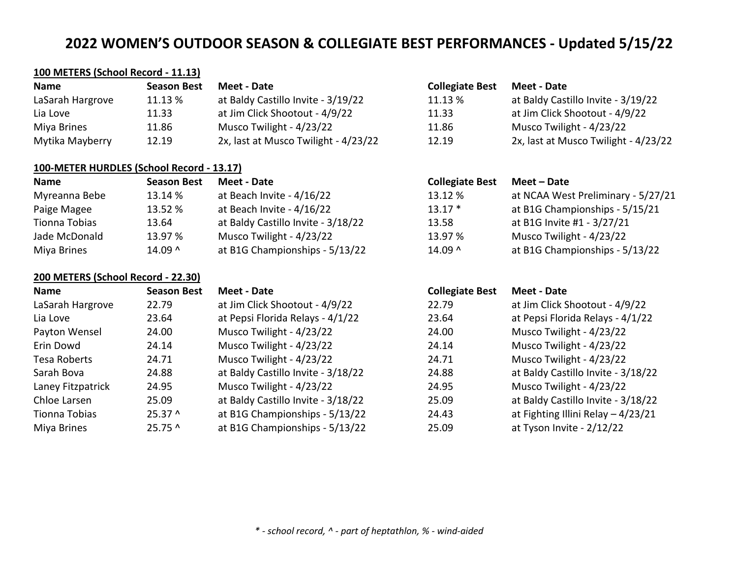at Baldy Castillo Invite - 3/19/22 at Jim Click Shootout - 4/9/22 Musco Twilight - 4/23/22

2x, last at Musco Twilight - 4/23/22

# **100 METERS (School Record - 11.13)**

| <b>Name</b>      | <b>Season Best</b> | Meet - Date                          | <b>Collegiate Best</b> | <b>Meet - Date</b>  |
|------------------|--------------------|--------------------------------------|------------------------|---------------------|
| LaSarah Hargrove | 11.13 %            | at Baldy Castillo Invite - 3/19/22   | 11.13 %                | at Baldy Cast       |
| Lia Love         | 11.33              | at Jim Click Shootout - 4/9/22       | 11.33                  | at Jim Click S      |
| Miya Brines      | 11.86              | Musco Twilight - 4/23/22             | 11.86                  | <b>Musco Twilig</b> |
| Mytika Mayberry  | 12.19              | 2x, last at Musco Twilight - 4/23/22 | 12.19                  | 2x, last at M       |

## **100-METER HURDLES (School Record - 13.17)**

| Name          | <b>Season Best</b> | Meet - Date                        | <b>Collegiate Best</b> | Meet – Date                        |
|---------------|--------------------|------------------------------------|------------------------|------------------------------------|
| Myreanna Bebe | 13.14 %            | at Beach Invite - 4/16/22          | 13.12 %                | at NCAA West Preliminary - 5/27/21 |
| Paige Magee   | 13.52 %            | at Beach Invite - 4/16/22          | $13.17*$               | at B1G Championships - 5/15/21     |
| Tionna Tobias | 13.64              | at Baldy Castillo Invite - 3/18/22 | 13.58                  | at B1G Invite #1 - 3/27/21         |
| Jade McDonald | 13.97 %            | Musco Twilight - 4/23/22           | 13.97 %                | Musco Twilight - 4/23/22           |
| Miya Brines   | $14.09^$           | at B1G Championships - 5/13/22     | $14.09^$               | at B1G Championships - 5/13/22     |

## **200 METERS (School Record - 22.30)**

| Name              | <b>Season Best</b> | Meet - Date                        | <b>Collegiate Best</b> | Meet - Date                         |
|-------------------|--------------------|------------------------------------|------------------------|-------------------------------------|
| LaSarah Hargrove  | 22.79              | at Jim Click Shootout - 4/9/22     | 22.79                  | at Jim Click Shootout - 4/9/22      |
| Lia Love          | 23.64              | at Pepsi Florida Relays - 4/1/22   | 23.64                  | at Pepsi Florida Relays - 4/1/22    |
| Payton Wensel     | 24.00              | Musco Twilight - 4/23/22           | 24.00                  | Musco Twilight - 4/23/22            |
| Erin Dowd         | 24.14              | Musco Twilight - 4/23/22           | 24.14                  | Musco Twilight - 4/23/22            |
| Tesa Roberts      | 24.71              | Musco Twilight - 4/23/22           | 24.71                  | Musco Twilight - 4/23/22            |
| Sarah Bova        | 24.88              | at Baldy Castillo Invite - 3/18/22 | 24.88                  | at Baldy Castillo Invite - 3/18/22  |
| Laney Fitzpatrick | 24.95              | Musco Twilight - 4/23/22           | 24.95                  | Musco Twilight - 4/23/22            |
| Chloe Larsen      | 25.09              | at Baldy Castillo Invite - 3/18/22 | 25.09                  | at Baldy Castillo Invite - 3/18/22  |
| Tionna Tobias     | $25.37^{\circ}$    | at B1G Championships - 5/13/22     | 24.43                  | at Fighting Illini Relay $-4/23/21$ |
| Miya Brines       | $25.75^{\circ}$    | at B1G Championships - 5/13/22     | 25.09                  | at Tyson Invite - 2/12/22           |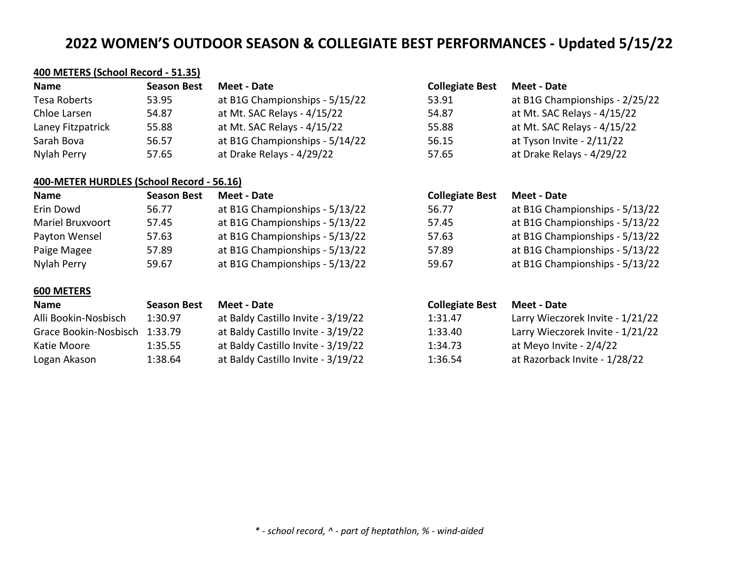# **400 METERS (School Record - 51.35)**

| <b>Name</b>       | <b>Season Best</b> | Meet - Date                    | <b>Collegiate Best</b> | Meet - Date                    |
|-------------------|--------------------|--------------------------------|------------------------|--------------------------------|
| Tesa Roberts      | 53.95              | at B1G Championships - 5/15/22 | 53.91                  | at B1G Championships - 2/25/22 |
| Chloe Larsen      | 54.87              | at Mt. SAC Relays - 4/15/22    | 54.87                  | at Mt. SAC Relays - 4/15/22    |
| Laney Fitzpatrick | 55.88              | at Mt. SAC Relays - 4/15/22    | 55.88                  | at Mt. SAC Relays - 4/15/22    |
| Sarah Bova        | 56.57              | at B1G Championships - 5/14/22 | 56.15                  | at Tyson Invite - 2/11/22      |
| Nylah Perry       | 57.65              | at Drake Relays - 4/29/22      | 57.65                  | at Drake Relays - 4/29/22      |

# **400-METER HURDLES (School Record - 56.16)**

| Name                    | <b>Season Best</b> | Meet - Date                    | <b>Collegiate Best</b> | Meet - Date                    |
|-------------------------|--------------------|--------------------------------|------------------------|--------------------------------|
| Erin Dowd               | 56.77              | at B1G Championships - 5/13/22 | 56.77                  | at B1G Championships - 5/13/22 |
| <b>Mariel Bruxvoort</b> | 57.45              | at B1G Championships - 5/13/22 | 57.45                  | at B1G Championships - 5/13/22 |
| Payton Wensel           | 57.63              | at B1G Championships - 5/13/22 | 57.63                  | at B1G Championships - 5/13/22 |
| Paige Magee             | 57.89              | at B1G Championships - 5/13/22 | 57.89                  | at B1G Championships - 5/13/22 |
| Nylah Perry             | 59.67              | at B1G Championships - 5/13/22 | 59.67                  | at B1G Championships - 5/13/22 |

### **600 METERS**

| <b>Name</b>           | <b>Season Best</b> | Meet - Date                        | <b>Collegiate Best</b> | Meet - Date                      |
|-----------------------|--------------------|------------------------------------|------------------------|----------------------------------|
| Alli Bookin-Nosbisch  | 1:30.97            | at Baldy Castillo Invite - 3/19/22 | 1:31.47                | Larry Wieczorek Invite - 1/21/22 |
| Grace Bookin-Nosbisch | 1:33.79            | at Baldy Castillo Invite - 3/19/22 | 1:33.40                | Larry Wieczorek Invite - 1/21/22 |
| Katie Moore           | 1:35.55            | at Baldy Castillo Invite - 3/19/22 | 1:34.73                | at Meyo Invite - 2/4/22          |
| Logan Akason          | 1:38.64            | at Baldy Castillo Invite - 3/19/22 | 1:36.54                | at Razorback Invite - 1/28/22    |

| :st | Meet - Date                        |
|-----|------------------------------------|
|     | at Baldy Castillo Invite - 3/19/22 |
|     | at Baldy Castillo Invite - 3/19/22 |
|     | at Baldy Castillo Invite - 3/19/22 |
|     | at Baldy Castillo Invite - 3/19/22 |

| <b>Collegiate Best</b> | Meet - Date                    |
|------------------------|--------------------------------|
| 53.91                  | at B1G Championships - 2/25/22 |
| 54.87                  | at Mt. SAC Relays - 4/15/22    |
| 55.88                  | at Mt. SAC Relays - 4/15/22    |
| 56.15                  | at Tyson Invite - 2/11/22      |
| 57.65                  | at Drake Relays - 4/29/22      |

| <b>Collegiate Best</b> | <b>Meet - Date</b>             |
|------------------------|--------------------------------|
| 56.77                  | at B1G Championships - 5/13/22 |
| 57.45                  | at B1G Championships - 5/13/22 |
| 57.63                  | at B1G Championships - 5/13/22 |
| 57.89                  | at B1G Championships - 5/13/22 |
| 59.67                  | at B1G Championships - 5/13/22 |

| <b>Collegiate Best</b> | Meet - Date                      |
|------------------------|----------------------------------|
| 1:31.47                | Larry Wieczorek Invite - 1/21/22 |
| 1:33.40                | Larry Wieczorek Invite - 1/21/22 |
| 1:34.73                | at Meyo Invite - 2/4/22          |
| 1:36.54                | at Razorback Invite - 1/28/22    |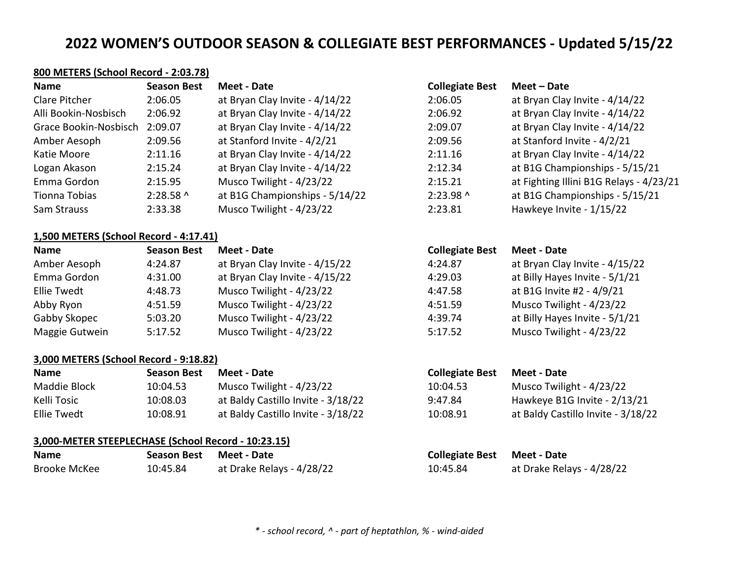# **800 METERS (School Record - 2:03.78)**

| <b>Name</b>           | <b>Season Best</b> | Meet - Date                    | <b>Collegiate Best</b> | Meet – Date                             |
|-----------------------|--------------------|--------------------------------|------------------------|-----------------------------------------|
| Clare Pitcher         | 2:06.05            | at Bryan Clay Invite - 4/14/22 | 2:06.05                | at Bryan Clay Invite - 4/14/22          |
| Alli Bookin-Nosbisch  | 2:06.92            | at Bryan Clay Invite - 4/14/22 | 2:06.92                | at Bryan Clay Invite - 4/14/22          |
| Grace Bookin-Nosbisch | 2:09.07            | at Bryan Clay Invite - 4/14/22 | 2:09.07                | at Bryan Clay Invite - 4/14/22          |
| Amber Aesoph          | 2:09.56            | at Stanford Invite - 4/2/21    | 2:09.56                | at Stanford Invite - 4/2/21             |
| Katie Moore           | 2:11.16            | at Bryan Clay Invite - 4/14/22 | 2:11.16                | at Bryan Clay Invite - 4/14/22          |
| Logan Akason          | 2:15.24            | at Bryan Clay Invite - 4/14/22 | 2:12.34                | at B1G Championships - 5/15/21          |
| Emma Gordon           | 2:15.95            | Musco Twilight - 4/23/22       | 2:15.21                | at Fighting Illini B1G Relays - 4/23/21 |
| Tionna Tobias         | $2:28.58$ ^        | at B1G Championships - 5/14/22 | 2:23.98 ^              | at B1G Championships - 5/15/21          |
| Sam Strauss           | 2:33.38            | Musco Twilight - 4/23/22       | 2:23.81                | Hawkeye Invite - 1/15/22                |

## **1,500 METERS (School Record - 4:17.41)**

| <b>Name</b>    | <b>Season Best</b> | Meet - Date                    | <b>Collegiate Best</b> | Meet - Date                    |
|----------------|--------------------|--------------------------------|------------------------|--------------------------------|
| Amber Aesoph   | 4:24.87            | at Bryan Clay Invite - 4/15/22 | 4:24.87                | at Bryan Clay Invite - 4/15/22 |
| Emma Gordon    | 4:31.00            | at Bryan Clay Invite - 4/15/22 | 4:29.03                | at Billy Hayes Invite - 5/1/21 |
| Ellie Twedt    | 4:48.73            | Musco Twilight - 4/23/22       | 4:47.58                | at B1G Invite #2 - 4/9/21      |
| Abby Ryon      | 4:51.59            | Musco Twilight - 4/23/22       | 4:51.59                | Musco Twilight - 4/23/22       |
| Gabby Skopec   | 5:03.20            | Musco Twilight - 4/23/22       | 4:39.74                | at Billy Hayes Invite - 5/1/21 |
| Maggie Gutwein | 5:17.52            | Musco Twilight - 4/23/22       | 5:17.52                | Musco Twilight - 4/23/22       |

## **3,000 METERS (School Record - 9:18.82)**

| <b>Name</b>  | <b>Season Best</b> | Meet - Date                        | <b>Collegiate Best</b> | Meet - Date                        |
|--------------|--------------------|------------------------------------|------------------------|------------------------------------|
| Maddie Block | 10:04.53           | Musco Twilight - 4/23/22           | 10:04.53               | Musco Twilight - 4/23/22           |
| Kelli Tosic  | 10:08.03           | at Baldy Castillo Invite - 3/18/22 | 9:47.84                | Hawkeye B1G Invite - 2/13/21       |
| Ellie Twedt  | 10:08.91           | at Baldy Castillo Invite - 3/18/22 | 10:08.91               | at Baldy Castillo Invite - 3/18/22 |

# **3,000-METER STEEPLECHASE (School Record - 10:23.15)**

| <b>Name</b>  | <b>Season Best</b> | Meet - Date               | <b>Collegiate Best Meet - Date</b> |                           |
|--------------|--------------------|---------------------------|------------------------------------|---------------------------|
| Brooke McKee | 10:45.84           | at Drake Relays - 4/28/22 | 10:45.84                           | at Drake Relays - 4/28/22 |

| ollegiate Best | Meet - Date                             |
|----------------|-----------------------------------------|
| :06.05         | at Bryan Clay Invite - 4/14/22          |
| :06.92         | at Bryan Clay Invite - 4/14/22          |
| :09.07         | at Bryan Clay Invite - 4/14/22          |
| :09.56         | at Stanford Invite - 4/2/21             |
| :11.16         | at Bryan Clay Invite - 4/14/22          |
| :12.34         | at B1G Championships - 5/15/21          |
| :15.21         | at Fighting Illini B1G Relays - 4/23/21 |
| :23.98 ^       | at B1G Championships - 5/15/21          |
| :23.81         | Hawkeye Invite - 1/15/22                |

#### **Name Season Best Meet - Date Collegiate Best Meet - Date**

| 1:24.87 | at Bryan Clay Invite - 4/15/22 |
|---------|--------------------------------|
| 1:29.03 | at Billy Hayes Invite - 5/1/21 |
| 1:47.58 | at B1G Invite #2 - 4/9/21      |
| 1:51.59 | Musco Twilight - 4/23/22       |
| 1:39.74 | at Billy Hayes Invite - 5/1/21 |
| 5:17.52 | Musco Twilight - 4/23/22       |
|         |                                |

# **Name Season Best Meet - Date Collegiate Best Meet - Date**

| :04.53 | Musco Twilight - 4/23/22           |
|--------|------------------------------------|
| 47.84  | Hawkeye B1G Invite - 2/13/21       |
| :08.91 | at Baldy Castillo Invite - 3/18/22 |

# *\* - school record, ^ - part of heptathlon, % - wind-aided*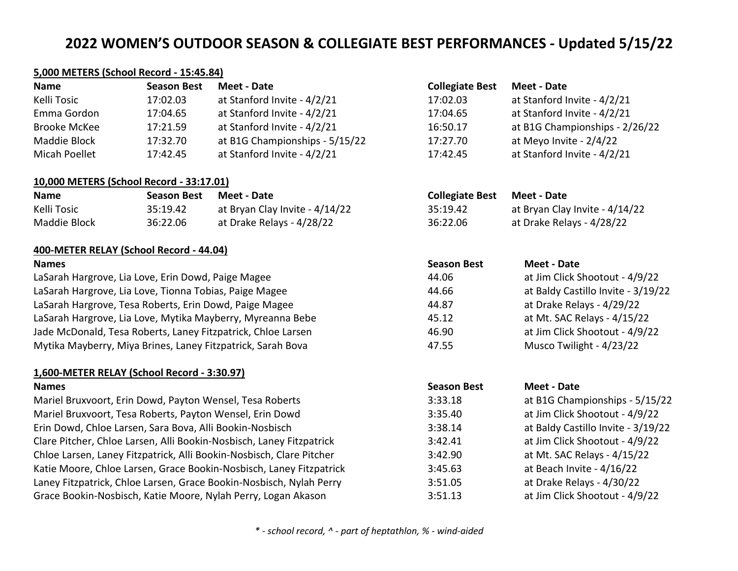#### **5,000 METERS (School Record - 15:45.84)**

| <b>Name</b>         | <b>Season Best</b> | Meet - Date                    | <b>Collegiate Best</b> | Meet - Date                    |
|---------------------|--------------------|--------------------------------|------------------------|--------------------------------|
| Kelli Tosic         | 17:02.03           | at Stanford Invite - 4/2/21    | 17:02.03               | at Stanford Invite - 4/2/21    |
| Emma Gordon         | 17:04.65           | at Stanford Invite - 4/2/21    | 17:04.65               | at Stanford Invite - 4/2/21    |
| <b>Brooke McKee</b> | 17:21.59           | at Stanford Invite - 4/2/21    | 16:50.17               | at B1G Championships - 2/26/22 |
| Maddie Block        | 17:32.70           | at B1G Championships - 5/15/22 | 17:27.70               | at Meyo Invite - 2/4/22        |
| Micah Poellet       | 17:42.45           | at Stanford Invite - 4/2/21    | 17:42.45               | at Stanford Invite - 4/2/21    |

#### **10,000 METERS (School Record - 33:17.01)**

| <b>Name</b>  | Season Best | Meet - Date                    | <b>Collegiate Best</b> | Meet - Date                    |
|--------------|-------------|--------------------------------|------------------------|--------------------------------|
| Kelli Tosic  | 35:19.42    | at Bryan Clay Invite - 4/14/22 | 35:19.42               | at Bryan Clay Invite - 4/14/22 |
| Maddie Block | 36:22.06    | at Drake Relays - 4/28/22      | 36:22.06               | at Drake Relays - 4/28/22      |

## **400-METER RELAY (School Record - 44.04)**

# **1,600-METER RELAY (School Record - 3:30.97)**

| Meet - Date                    |
|--------------------------------|
| at Stanford Invite - 4/2/21    |
| at Stanford Invite - 4/2/21    |
| at B1G Championships - 2/26/22 |
| at Meyo Invite - 2/4/22        |
| at Stanford Invite - 4/2/21    |
|                                |

| <b>Collegiate Best</b> | Meet - Date                    |
|------------------------|--------------------------------|
| 35:19.42               | at Bryan Clay Invite - 4/14/22 |
| 36:22.06               | at Drake Relays - 4/28/22      |

| <b>Names</b>                                                 | <b>Season Best</b> | Meet - Date                        |
|--------------------------------------------------------------|--------------------|------------------------------------|
| LaSarah Hargrove, Lia Love, Erin Dowd, Paige Magee           | 44.06              | at Jim Click Shootout - 4/9/22     |
| LaSarah Hargrove, Lia Love, Tionna Tobias, Paige Magee       | 44.66              | at Baldy Castillo Invite - 3/19/22 |
| LaSarah Hargrove, Tesa Roberts, Erin Dowd, Paige Magee       | 44.87              | at Drake Relays - 4/29/22          |
| LaSarah Hargrove, Lia Love, Mytika Mayberry, Myreanna Bebe   | 45.12              | at Mt. SAC Relays - 4/15/22        |
| Jade McDonald, Tesa Roberts, Laney Fitzpatrick, Chloe Larsen | 46.90              | at Jim Click Shootout - 4/9/22     |
| Mytika Mayberry, Miya Brines, Laney Fitzpatrick, Sarah Bova  | 47.55              | Musco Twilight - 4/23/22           |
|                                                              |                    |                                    |

| <b>Names</b>                                                         | <b>Season Best</b> | Meet - Date                        |
|----------------------------------------------------------------------|--------------------|------------------------------------|
| Mariel Bruxvoort, Erin Dowd, Payton Wensel, Tesa Roberts             | 3:33.18            | at B1G Championships - 5/15/22     |
| Mariel Bruxvoort, Tesa Roberts, Payton Wensel, Erin Dowd             | 3:35.40            | at Jim Click Shootout - 4/9/22     |
| Erin Dowd, Chloe Larsen, Sara Bova, Alli Bookin-Nosbisch             | 3:38.14            | at Baldy Castillo Invite - 3/19/22 |
| Clare Pitcher, Chloe Larsen, Alli Bookin-Nosbisch, Laney Fitzpatrick | 3:42.41            | at Jim Click Shootout - 4/9/22     |
| Chloe Larsen, Laney Fitzpatrick, Alli Bookin-Nosbisch, Clare Pitcher | 3:42.90            | at Mt. SAC Relays - 4/15/22        |
| Katie Moore, Chloe Larsen, Grace Bookin-Nosbisch, Laney Fitzpatrick  | 3:45.63            | at Beach Invite - 4/16/22          |
| Laney Fitzpatrick, Chloe Larsen, Grace Bookin-Nosbisch, Nylah Perry  | 3:51.05            | at Drake Relays - 4/30/22          |
| Grace Bookin-Nosbisch, Katie Moore, Nylah Perry, Logan Akason        | 3:51.13            | at Jim Click Shootout - 4/9/22     |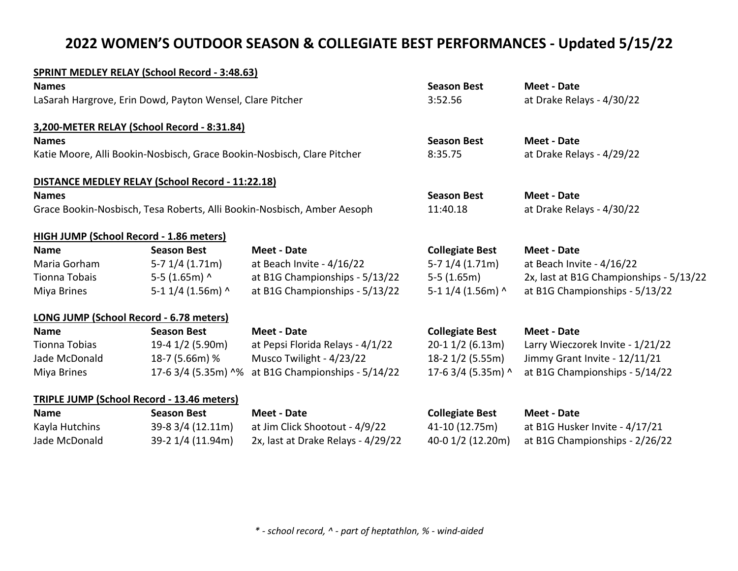## **SPRINT MEDLEY RELAY (School Record - 3:48.63)**

| <b>Names</b>                                              |                                                                         |                                                                         | <b>Season Best</b>     | Meet - Date                             |
|-----------------------------------------------------------|-------------------------------------------------------------------------|-------------------------------------------------------------------------|------------------------|-----------------------------------------|
| LaSarah Hargrove, Erin Dowd, Payton Wensel, Clare Pitcher |                                                                         |                                                                         | 3:52.56                | at Drake Relays - 4/30/22               |
|                                                           | 3,200-METER RELAY (School Record - 8:31.84)                             |                                                                         |                        |                                         |
| <b>Names</b>                                              |                                                                         |                                                                         | <b>Season Best</b>     | <b>Meet - Date</b>                      |
|                                                           | Katie Moore, Alli Bookin-Nosbisch, Grace Bookin-Nosbisch, Clare Pitcher |                                                                         | 8:35.75                | at Drake Relays - 4/29/22               |
|                                                           | <b>DISTANCE MEDLEY RELAY (School Record - 11:22.18)</b>                 |                                                                         |                        |                                         |
| <b>Names</b>                                              |                                                                         |                                                                         | <b>Season Best</b>     | <b>Meet - Date</b>                      |
|                                                           |                                                                         | Grace Bookin-Nosbisch, Tesa Roberts, Alli Bookin-Nosbisch, Amber Aesoph | 11:40.18               | at Drake Relays - 4/30/22               |
|                                                           | <b>HIGH JUMP (School Record - 1.86 meters)</b>                          |                                                                         |                        |                                         |
| <b>Name</b>                                               | <b>Season Best</b>                                                      | <b>Meet - Date</b>                                                      | <b>Collegiate Best</b> | <b>Meet - Date</b>                      |
| Maria Gorham                                              | $5-7$ 1/4 (1.71m)                                                       | at Beach Invite - 4/16/22                                               | $5-7$ 1/4 (1.71m)      | at Beach Invite - 4/16/22               |
| Tionna Tobais                                             | 5-5 $(1.65m)$ ^                                                         | at B1G Championships - 5/13/22                                          | $5-5(1.65m)$           | 2x, last at B1G Championships - 5/13/22 |
| Miya Brines                                               | 5-1 $1/4$ (1.56m) ^                                                     | at B1G Championships - 5/13/22                                          | 5-1 $1/4$ (1.56m) ^    | at B1G Championships - 5/13/22          |
|                                                           | LONG JUMP (School Record - 6.78 meters)                                 |                                                                         |                        |                                         |
| <b>Name</b>                                               | <b>Season Best</b>                                                      | <b>Meet - Date</b>                                                      | <b>Collegiate Best</b> | <b>Meet - Date</b>                      |
| Tionna Tobias                                             | 19-4 1/2 (5.90m)                                                        | at Pepsi Florida Relays - 4/1/22                                        | $20-1$ 1/2 (6.13m)     | Larry Wieczorek Invite - 1/21/22        |
| Jade McDonald                                             | 18-7 (5.66m) %                                                          | Musco Twilight - 4/23/22                                                | 18-2 1/2 (5.55m)       | Jimmy Grant Invite - 12/11/21           |
| Miya Brines                                               | 17-6 3/4 (5.35m) ^%                                                     | at B1G Championships - 5/14/22                                          | 17-6 3/4 (5.35m) ^     | at B1G Championships - 5/14/22          |
|                                                           | <b>TRIPLE JUMP (School Record - 13.46 meters)</b>                       |                                                                         |                        |                                         |
| <b>Name</b>                                               | <b>Season Best</b>                                                      | <b>Meet - Date</b>                                                      | <b>Collegiate Best</b> | <b>Meet - Date</b>                      |
| Kayla Hutchins                                            | 39-8 3/4 (12.11m)                                                       | at Jim Click Shootout - 4/9/22                                          | 41-10 (12.75m)         | at B1G Husker Invite - 4/17/21          |

Jade McDonald 39-2 1/4 (11.94m) 2x, last at Drake Relays - 4/29/22 40-0 1/2 (12.20m) at B1G Championships - 2/26/22